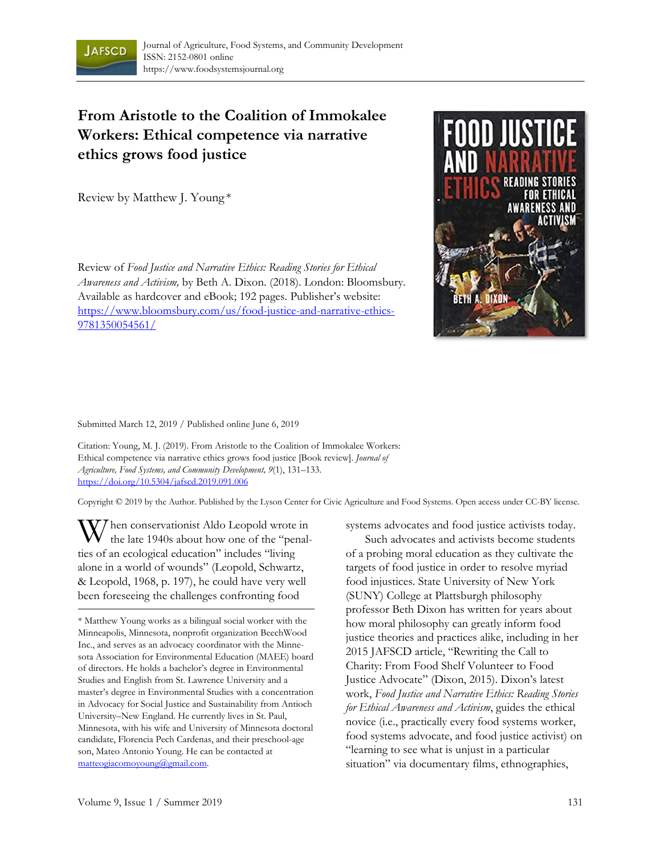

## **From Aristotle to the Coalition of Immokalee Workers: Ethical competence via narrative ethics grows food justice**

Review by Matthew J. Young \*

Review of *Food Justice and Narrative Ethics: Reading Stories for Ethical Awareness and Activism,* by Beth A. Dixon. (2018). London: Bloomsbury. Available as hardcover and eBook; 192 pages. Publisher's website: https://www.bloomsbury.com/us/food-justice-and-narrative-ethics-9781350054561/



Submitted March 12, 2019 / Published online June 6, 2019

Citation: Young, M. J. (2019). From Aristotle to the Coalition of Immokalee Workers: Ethical competence via narrative ethics grows food justice [Book review]. *Journal of Agriculture, Food Systems, and Community Development, 9*(1), 131–133. https://doi.org/10.5304/jafscd.2019.091.006

Copyright © 2019 by the Author. Published by the Lyson Center for Civic Agriculture and Food Systems. Open access under CC-BY license.

hen conservationist Aldo Leopold wrote in W hen conservationist Aldo Leopold wrote in<br>the late 1940s about how one of the "penalties of an ecological education" includes "living alone in a world of wounds" (Leopold, Schwartz, & Leopold, 1968, p. 197), he could have very well been foreseeing the challenges confronting food

systems advocates and food justice activists today.

 Such advocates and activists become students of a probing moral education as they cultivate the targets of food justice in order to resolve myriad food injustices. State University of New York (SUNY) College at Plattsburgh philosophy professor Beth Dixon has written for years about how moral philosophy can greatly inform food justice theories and practices alike, including in her 2015 JAFSCD article, "Rewriting the Call to Charity: From Food Shelf Volunteer to Food Justice Advocate" (Dixon, 2015). Dixon's latest work, *Food Justice and Narrative Ethics: Reading Stories for Ethical Awareness and Activism*, guides the ethical novice (i.e., practically every food systems worker, food systems advocate, and food justice activist) on "learning to see what is unjust in a particular situation" via documentary films, ethnographies,

<sup>\*</sup> Matthew Young works as a bilingual social worker with the Minneapolis, Minnesota, nonprofit organization BeechWood Inc., and serves as an advocacy coordinator with the Minnesota Association for Environmental Education (MAEE) board of directors. He holds a bachelor's degree in Environmental Studies and English from St. Lawrence University and a master's degree in Environmental Studies with a concentration in Advocacy for Social Justice and Sustainability from Antioch University–New England. He currently lives in St. Paul, Minnesota, with his wife and University of Minnesota doctoral candidate, Florencia Pech Cardenas, and their preschool-age son, Mateo Antonio Young. He can be contacted at matteogiacomoyoung@gmail.com.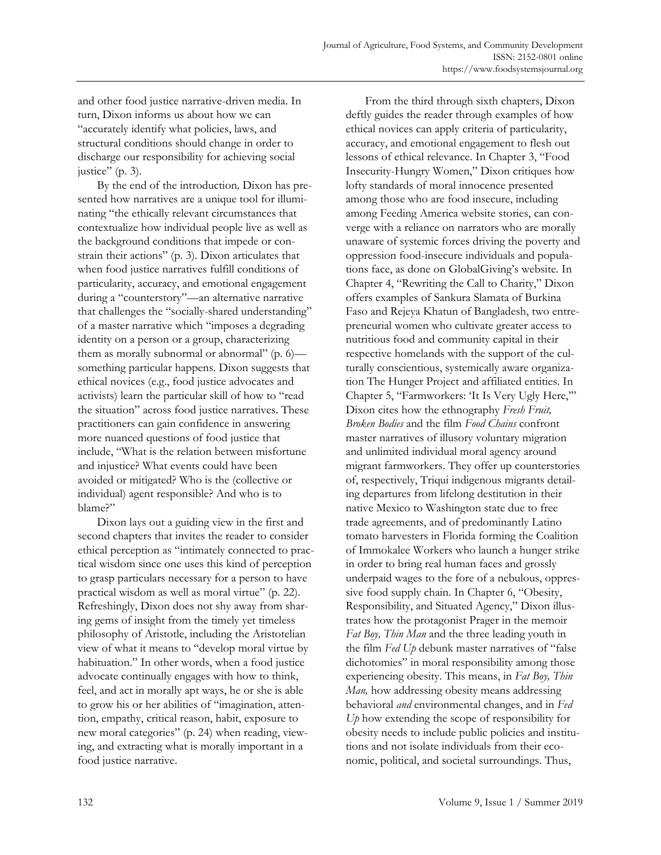and other food justice narrative-driven media. In turn, Dixon informs us about how we can "accurately identify what policies, laws, and structural conditions should change in order to discharge our responsibility for achieving social justice" (p. 3).

 By the end of the introduction*,* Dixon has presented how narratives are a unique tool for illuminating "the ethically relevant circumstances that contextualize how individual people live as well as the background conditions that impede or constrain their actions" (p. 3). Dixon articulates that when food justice narratives fulfill conditions of particularity, accuracy, and emotional engagement during a "counterstory"—an alternative narrative that challenges the "socially-shared understanding" of a master narrative which "imposes a degrading identity on a person or a group, characterizing them as morally subnormal or abnormal" (p. 6) something particular happens. Dixon suggests that ethical novices (e.g., food justice advocates and activists) learn the particular skill of how to "read the situation" across food justice narratives. These practitioners can gain confidence in answering more nuanced questions of food justice that include, "What is the relation between misfortune and injustice? What events could have been avoided or mitigated? Who is the (collective or individual) agent responsible? And who is to blame?"

 Dixon lays out a guiding view in the first and second chapters that invites the reader to consider ethical perception as "intimately connected to practical wisdom since one uses this kind of perception to grasp particulars necessary for a person to have practical wisdom as well as moral virtue" (p. 22). Refreshingly, Dixon does not shy away from sharing gems of insight from the timely yet timeless philosophy of Aristotle, including the Aristotelian view of what it means to "develop moral virtue by habituation." In other words, when a food justice advocate continually engages with how to think, feel, and act in morally apt ways, he or she is able to grow his or her abilities of "imagination, attention, empathy, critical reason, habit, exposure to new moral categories" (p. 24) when reading, viewing, and extracting what is morally important in a food justice narrative.

 From the third through sixth chapters, Dixon deftly guides the reader through examples of how ethical novices can apply criteria of particularity, accuracy, and emotional engagement to flesh out lessons of ethical relevance. In Chapter 3, "Food Insecurity-Hungry Women," Dixon critiques how lofty standards of moral innocence presented among those who are food insecure, including among Feeding America website stories, can converge with a reliance on narrators who are morally unaware of systemic forces driving the poverty and oppression food-insecure individuals and populations face, as done on GlobalGiving's website. In Chapter 4, "Rewriting the Call to Charity," Dixon offers examples of Sankura Slamata of Burkina Faso and Rejeya Khatun of Bangladesh, two entrepreneurial women who cultivate greater access to nutritious food and community capital in their respective homelands with the support of the culturally conscientious, systemically aware organization The Hunger Project and affiliated entities. In Chapter 5, "Farmworkers: 'It Is Very Ugly Here,'" Dixon cites how the ethnography *Fresh Fruit, Broken Bodies* and the film *Food Chains* confront master narratives of illusory voluntary migration and unlimited individual moral agency around migrant farmworkers. They offer up counterstories of, respectively, Triqui indigenous migrants detailing departures from lifelong destitution in their native Mexico to Washington state due to free trade agreements, and of predominantly Latino tomato harvesters in Florida forming the Coalition of Immokalee Workers who launch a hunger strike in order to bring real human faces and grossly underpaid wages to the fore of a nebulous, oppressive food supply chain. In Chapter 6, "Obesity, Responsibility, and Situated Agency," Dixon illustrates how the protagonist Prager in the memoir *Fat Boy, Thin Man* and the three leading youth in the film *Fed Up* debunk master narratives of "false dichotomies" in moral responsibility among those experiencing obesity. This means, in *Fat Boy, Thin Man,* how addressing obesity means addressing behavioral *and* environmental changes, and in *Fed Up* how extending the scope of responsibility for obesity needs to include public policies and institutions and not isolate individuals from their economic, political, and societal surroundings. Thus,